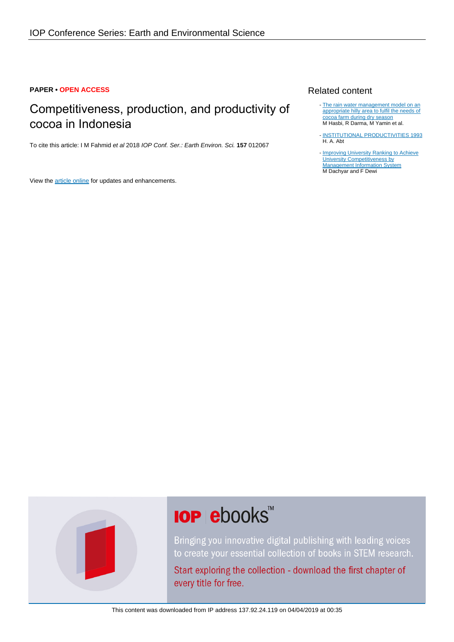#### **PAPER • OPEN ACCESS**

# Competitiveness, production, and productivity of cocoa in Indonesia

To cite this article: I M Fahmid et al 2018 IOP Conf. Ser.: Earth Environ. Sci. **157** 012067

View the [article online](https://doi.org/10.1088/1755-1315/157/1/012067) for updates and enhancements.

## Related content

- [The rain water management model on an](http://iopscience.iop.org/article/10.1088/1755-1315/157/1/012003) [appropriate hilly area to fulfil the needs of](http://iopscience.iop.org/article/10.1088/1755-1315/157/1/012003) [cocoa farm during dry season](http://iopscience.iop.org/article/10.1088/1755-1315/157/1/012003) M Hasbi, R Darma, M Yamin et al.
- **[INSTITUTIONAL PRODUCTIVITIES 1993](http://iopscience.iop.org/article/10.1086/133353)** H. A. Abt
- **[Improving University Ranking to Achieve](http://iopscience.iop.org/article/10.1088/1757-899X/83/1/012023)** [University Competitiveness by](http://iopscience.iop.org/article/10.1088/1757-899X/83/1/012023) **[Management Information System](http://iopscience.iop.org/article/10.1088/1757-899X/83/1/012023)** M Dachyar and F Dewi



# **IOP ebooks**™

Bringing you innovative digital publishing with leading voices to create your essential collection of books in STEM research.

Start exploring the collection - download the first chapter of every title for free.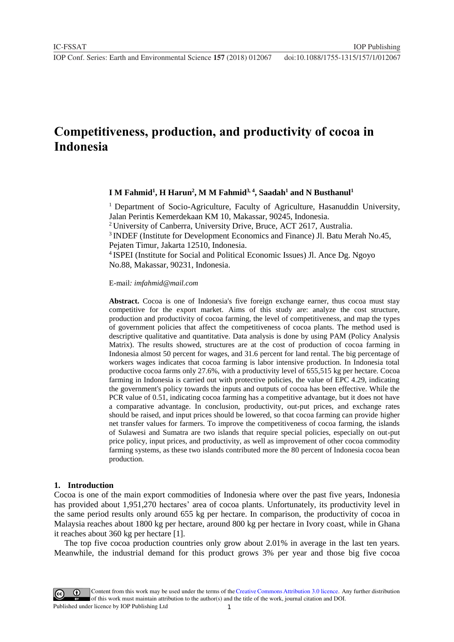## **Competitiveness, production, and productivity of cocoa in Indonesia**

#### ${\bf I}$   ${\bf M}$   ${\bf F}$ ahmid $^1,$   ${\bf H}$   ${\bf Harun^2},$   ${\bf M}$   ${\bf N}$   ${\bf F}$ ahmid $^{3,4},$   ${\bf Saadah^1}$  and  ${\bf N}$   ${\bf Busthanul^1}$

<sup>1</sup> Department of Socio-Agriculture, Faculty of Agriculture, Hasanuddin University, Jalan Perintis Kemerdekaan KM 10, Makassar, 90245, Indonesia. <sup>2</sup> University of Canberra, University Drive, Bruce, ACT 2617, Australia. <sup>3</sup> INDEF (Institute for Development Economics and Finance) Jl. Batu Merah No.45, Pejaten Timur, Jakarta 12510, Indonesia. <sup>4</sup> ISPEI (Institute for Social and Political Economic Issues) Jl. Ance Dg. Ngoyo

No.88, Makassar, 90231, Indonesia.

#### E-mail*: imfahmid@mail.com*

**Abstract.** Cocoa is one of Indonesia's five foreign exchange earner, thus cocoa must stay compet[itive for the export](mailto:imfahmid@mail.com) market. Aims of this study are: analyze the cost structure, production and productivity of cocoa farming, the level of competitiveness, and map the types of government policies that affect the competitiveness of cocoa plants. The method used is descriptive qualitative and quantitative. Data analysis is done by using PAM (Policy Analysis Matrix). The results showed, structures are at the cost of production of cocoa farming in Indonesia almost 50 percent for wages, and 31.6 percent for land rental. The big percentage of workers wages indicates that cocoa farming is labor intensive production. In Indonesia total productive cocoa farms only 27.6%, with a productivity level of 655,515 kg per hectare. Cocoa farming in Indonesia is carried out with protective policies, the value of EPC 4.29, indicating the government's policy towards the inputs and outputs of cocoa has been effective. While the PCR value of 0.51, indicating cocoa farming has a competitive advantage, but it does not have a comparative advantage. In conclusion, productivity, out-put prices, and exchange rates should be raised, and input prices should be lowered, so that cocoa farming can provide higher net transfer values for farmers. To improve the competitiveness of cocoa farming, the islands of Sulawesi and Sumatra are two islands that require special policies, especially on out-put price policy, input prices, and productivity, as well as improvement of other cocoa commodity farming systems, as these two islands contributed more the 80 percent of Indonesia cocoa bean production.

#### **1. Introduction**

Cocoa is one of the main export commodities of Indonesia where over the past five years, Indonesia has provided about 1,951,270 hectares' area of cocoa plants. Unfortunately, its productivity level in the same period results only around 655 kg per hectare. In comparison, the productivity of cocoa in Malaysia reaches about 1800 kg per hectare, around 800 kg per hectare in Ivory coast, while in Ghana it reaches about 360 kg per hectare [1].

The top five cocoa production countries only grow about 2.01% in average in the last ten years. Meanwhile, the industrial demand for this product grows 3% per year and those big five cocoa

1 Content from this work may be used under the terms of the[Creative Commons Attribution 3.0 licence.](http://creativecommons.org/licenses/by/3.0) Any further distribution of this work must maintain attribution to the author(s) and the title of the work, journal citation and DOI. Published under licence by IOP Publishing Ltd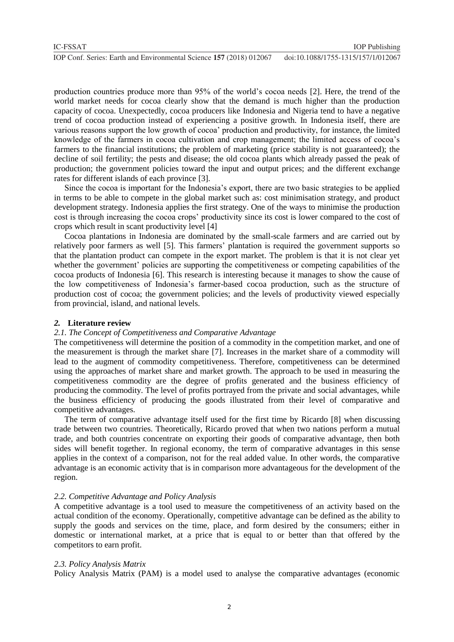production countries produce more than 95% of the world's cocoa needs [2]. Here, the trend of the world market needs for cocoa clearly show that the demand is much higher than the production capacity of cocoa. Unexpectedly, cocoa producers like Indonesia and Nigeria tend to have a negative trend of cocoa production instead of experiencing a positive growth. In Indonesia itself, there are various reasons support the low growth of cocoa' production and productivity, for instance, the limited knowledge of the farmers in cocoa cultivation and crop management; the limited access of cocoa's farmers to the financial institutions; the problem of marketing (price stability is not guaranteed); the decline of soil fertility; the pests and disease; the old cocoa plants which already passed the peak of production; the government policies toward the input and output prices; and the different exchange rates for different islands of each province [3].

Since the cocoa is important for the Indonesia's export, there are two basic strategies to be applied in terms to be able to compete in the global market such as: cost minimisation strategy, and product development strategy. Indonesia applies the first strategy. One of the ways to minimise the production cost is through increasing the cocoa crops' productivity since its cost is lower compared to the cost of crops which result in scant productivity level [4]

Cocoa plantations in Indonesia are dominated by the small-scale farmers and are carried out by relatively poor farmers as well [5]. This farmers' plantation is required the government supports so that the plantation product can compete in the export market. The problem is that it is not clear yet whether the government' policies are supporting the competitiveness or competing capabilities of the cocoa products of Indonesia [6]. This research is interesting because it manages to show the cause of the low competitiveness of Indonesia's farmer-based cocoa production, such as the structure of production cost of cocoa; the government policies; and the levels of productivity viewed especially from provincial, island, and national levels.

### *2.* **Literature review**

### *2.1. The Concept of Competitiveness and Comparative Advantage*

The competitiveness will determine the position of a commodity in the competition market, and one of the measurement is through the market share [7]. Increases in the market share of a commodity will lead to the augment of commodity competitiveness. Therefore, competitiveness can be determined using the approaches of market share and market growth. The approach to be used in measuring the competitiveness commodity are the degree of profits generated and the business efficiency of producing the commodity. The level of profits portrayed from the private and social advantages, while the business efficiency of producing the goods illustrated from their level of comparative and competitive advantages.

The term of comparative advantage itself used for the first time by Ricardo [8] when discussing trade between two countries. Theoretically, Ricardo proved that when two nations perform a mutual trade, and both countries concentrate on exporting their goods of comparative advantage, then both sides will benefit together. In regional economy, the term of comparative advantages in this sense applies in the context of a comparison, not for the real added value. In other words, the comparative advantage is an economic activity that is in comparison more advantageous for the development of the region.

## *2.2. Competitive Advantage and Policy Analysis*

A competitive advantage is a tool used to measure the competitiveness of an activity based on the actual condition of the economy. Operationally, competitive advantage can be defined as the ability to supply the goods and services on the time, place, and form desired by the consumers; either in domestic or international market, at a price that is equal to or better than that offered by the competitors to earn profit.

#### *2.3. Policy Analysis Matrix*

Policy Analysis Matrix (PAM) is a model used to analyse the comparative advantages (economic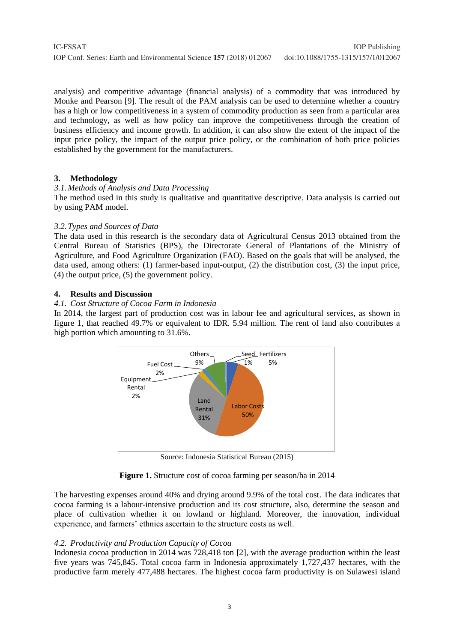analysis) and competitive advantage (financial analysis) of a commodity that was introduced by Monke and Pearson [9]. The result of the PAM analysis can be used to determine whether a country has a high or low competitiveness in a system of commodity production as seen from a particular area and technology, as well as how policy can improve the competitiveness through the creation of business efficiency and income growth. In addition, it can also show the extent of the impact of the input price policy, the impact of the output price policy, or the combination of both price policies established by the government for the manufacturers.

## **3. Methodology**

## *3.1.Methods of Analysis and Data Processing*

The method used in this study is qualitative and quantitative descriptive. Data analysis is carried out by using PAM model.

## *3.2.Types and Sources of Data*

The data used in this research is the secondary data of Agricultural Census 2013 obtained from the Central Bureau of Statistics (BPS), the Directorate General of Plantations of the Ministry of Agriculture, and Food Agriculture Organization (FAO). Based on the goals that will be analysed, the data used, among others: (1) farmer-based input-output, (2) the distribution cost, (3) the input price, (4) the output price, (5) the government policy.

## **4. Results and Discussion**

## *4.1. Cost Structure of Cocoa Farm in Indonesia*

In 2014, the largest part of production cost was in labour fee and agricultural services, as shown in figure 1, that reached 49.7% or equivalent to IDR. 5.94 million. The rent of land also contributes a high portion which amounting to 31.6%.



Source: Indonesia Statistical Bureau (2015)

**Figure 1.** Structure cost of cocoa farming per season/ha in 2014

The harvesting expenses around 40% and drying around 9.9% of the total cost. The data indicates that cocoa farming is a labour-intensive production and its cost structure, also, determine the season and place of cultivation whether it on lowland or highland. Moreover, the innovation, individual experience, and farmers' ethnics ascertain to the structure costs as well.

## *4.2. Productivity and Production Capacity of Cocoa*

Indonesia cocoa production in 2014 was 728,418 ton [2], with the average production within the least five years was 745,845. Total cocoa farm in Indonesia approximately 1,727,437 hectares, with the productive farm merely 477,488 hectares. The highest cocoa farm productivity is on Sulawesi island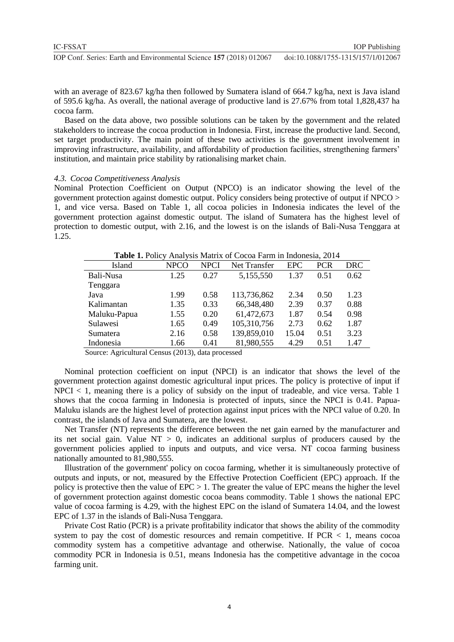with an average of 823.67 kg/ha then followed by Sumatera island of 664.7 kg/ha, next is Java island of 595.6 kg/ha. As overall, the national average of productive land is 27.67% from total 1,828,437 ha cocoa farm.

Based on the data above, two possible solutions can be taken by the government and the related stakeholders to increase the cocoa production in Indonesia. First, increase the productive land. Second, set target productivity. The main point of these two activities is the government involvement in improving infrastructure, availability, and affordability of production facilities, strengthening farmers' institution, and maintain price stability by rationalising market chain.

#### *4.3. Cocoa Competitiveness Analysis*

Nominal Protection Coefficient on Output (NPCO) is an indicator showing the level of the government protection against domestic output. Policy considers being protective of output if NPCO > 1, and vice versa. Based on Table 1, all cocoa policies in Indonesia indicates the level of the government protection against domestic output. The island of Sumatera has the highest level of protection to domestic output, with 2.16, and the lowest is on the islands of Bali-Nusa Tenggara at 1.25.

| <b>Table 1.</b> Folley Thialysis ividities of Cocoa Family in Indonesia, 2014 |             |             |              |            |            |            |  |  |  |  |
|-------------------------------------------------------------------------------|-------------|-------------|--------------|------------|------------|------------|--|--|--|--|
| Island                                                                        | <b>NPCO</b> | <b>NPCI</b> | Net Transfer | <b>EPC</b> | <b>PCR</b> | <b>DRC</b> |  |  |  |  |
| Bali-Nusa                                                                     | 1.25        | 0.27        | 5,155,550    | 1.37       | 0.51       | 0.62       |  |  |  |  |
| Tenggara                                                                      |             |             |              |            |            |            |  |  |  |  |
| Java                                                                          | 1.99        | 0.58        | 113,736,862  | 2.34       | 0.50       | 1.23       |  |  |  |  |
| Kalimantan                                                                    | 1.35        | 0.33        | 66,348,480   | 2.39       | 0.37       | 0.88       |  |  |  |  |
| Maluku-Papua                                                                  | 1.55        | 0.20        | 61,472,673   | 1.87       | 0.54       | 0.98       |  |  |  |  |
| Sulawesi                                                                      | 1.65        | 0.49        | 105,310,756  | 2.73       | 0.62       | 1.87       |  |  |  |  |
| Sumatera                                                                      | 2.16        | 0.58        | 139,859,010  | 15.04      | 0.51       | 3.23       |  |  |  |  |
| Indonesia                                                                     | 1.66        | 0.41        | 81,980,555   | 4.29       | 0.51       | 1.47       |  |  |  |  |
|                                                                               |             |             |              |            |            |            |  |  |  |  |

**Table 1.** Policy Analysis Matrix of Cocoa Farm in Indonesia, 2014

Source: Agricultural Census (2013), data processed

Nominal protection coefficient on input (NPCI) is an indicator that shows the level of the government protection against domestic agricultural input prices. The policy is protective of input if  $NPCI < 1$ , meaning there is a policy of subsidy on the input of tradeable, and vice versa. Table 1 shows that the cocoa farming in Indonesia is protected of inputs, since the NPCI is 0.41. Papua-Maluku islands are the highest level of protection against input prices with the NPCI value of 0.20. In contrast, the islands of Java and Sumatera, are the lowest.

Net Transfer (NT) represents the difference between the net gain earned by the manufacturer and its net social gain. Value  $NT > 0$ , indicates an additional surplus of producers caused by the government policies applied to inputs and outputs, and vice versa. NT cocoa farming business nationally amounted to 81,980,555.

Illustration of the government' policy on cocoa farming, whether it is simultaneously protective of outputs and inputs, or not, measured by the Effective Protection Coefficient (EPC) approach. If the policy is protective then the value of  $EPC > 1$ . The greater the value of  $EPC$  means the higher the level of government protection against domestic cocoa beans commodity. Table 1 shows the national EPC value of cocoa farming is 4.29, with the highest EPC on the island of Sumatera 14.04, and the lowest EPC of 1.37 in the islands of Bali-Nusa Tenggara.

Private Cost Ratio (PCR) is a private profitability indicator that shows the ability of the commodity system to pay the cost of domestic resources and remain competitive. If  $PCR < 1$ , means cocoa commodity system has a competitive advantage and otherwise. Nationally, the value of cocoa commodity PCR in Indonesia is 0.51, means Indonesia has the competitive advantage in the cocoa farming unit.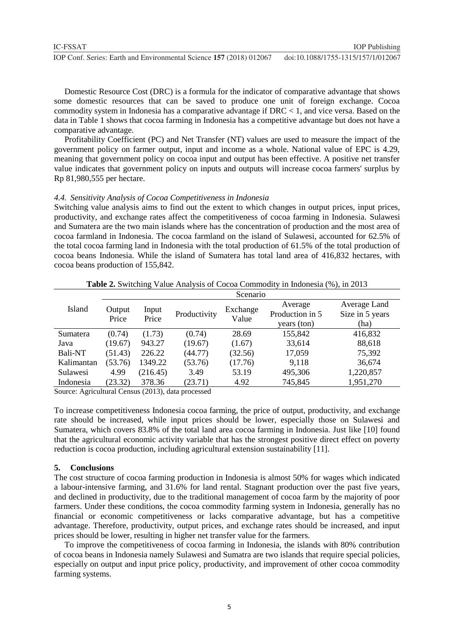Domestic Resource Cost (DRC) is a formula for the indicator of comparative advantage that shows

some domestic resources that can be saved to produce one unit of foreign exchange. Cocoa commodity system in Indonesia has a comparative advantage if  $DRC < 1$ , and vice versa. Based on the data in Table 1 shows that cocoa farming in Indonesia has a competitive advantage but does not have a comparative advantage. Profitability Coefficient (PC) and Net Transfer (NT) values are used to measure the impact of the

government policy on farmer output, input and income as a whole. National value of EPC is 4.29, meaning that government policy on cocoa input and output has been effective. A positive net transfer value indicates that government policy on inputs and outputs will increase cocoa farmers' surplus by Rp 81,980,555 per hectare.

## *4.4. Sensitivity Analysis of Cocoa Competitiveness in Indonesia*

Switching value analysis aims to find out the extent to which changes in output prices, input prices, productivity, and exchange rates affect the competitiveness of cocoa farming in Indonesia. Sulawesi and Sumatera are the two main islands where has the concentration of production and the most area of cocoa farmland in Indonesia. The cocoa farmland on the island of Sulawesi, accounted for 62.5% of the total cocoa farming land in Indonesia with the total production of 61.5% of the total production of cocoa beans Indonesia. While the island of Sumatera has total land area of 416,832 hectares, with cocoa beans production of 155,842.

**Table 2.** Switching Value Analysis of Cocoa Commodity in Indonesia (%), in 2013

|            | Scenario        |                |              |                   |                                           |                                         |  |  |
|------------|-----------------|----------------|--------------|-------------------|-------------------------------------------|-----------------------------------------|--|--|
| Island     | Output<br>Price | Input<br>Price | Productivity | Exchange<br>Value | Average<br>Production in 5<br>years (ton) | Average Land<br>Size in 5 years<br>(ha) |  |  |
| Sumatera   | (0.74)          | (1.73)         | (0.74)       | 28.69             | 155,842                                   | 416,832                                 |  |  |
| Java       | (19.67)         | 943.27         | (19.67)      | (1.67)            | 33,614                                    | 88,618                                  |  |  |
| Bali-NT    | (51.43)         | 226.22         | (44.77)      | (32.56)           | 17,059                                    | 75,392                                  |  |  |
| Kalimantan | (53.76)         | 1349.22        | (53.76)      | (17.76)           | 9,118                                     | 36,674                                  |  |  |
| Sulawesi   | 4.99            | (216.45)       | 3.49         | 53.19             | 495,306                                   | 1,220,857                               |  |  |
| Indonesia  | (23.32)         | 378.36         | (23.71)      | 4.92              | 745,845                                   | 1,951,270                               |  |  |

Source: Agricultural Census (2013), data processed

To increase competitiveness Indonesia cocoa farming, the price of output, productivity, and exchange rate should be increased, while input prices should be lower, especially those on Sulawesi and Sumatera, which covers 83.8% of the total land area cocoa farming in Indonesia. Just like [10] found that the agricultural economic activity variable that has the strongest positive direct effect on poverty reduction is cocoa production, including agricultural extension sustainability [11].

## **5. Conclusions**

The cost structure of cocoa farming production in Indonesia is almost 50% for wages which indicated a labour-intensive farming, and 31.6% for land rental. Stagnant production over the past five years, and declined in productivity, due to the traditional management of cocoa farm by the majority of poor farmers. Under these conditions, the cocoa commodity farming system in Indonesia, generally has no financial or economic competitiveness or lacks comparative advantage, but has a competitive advantage. Therefore, productivity, output prices, and exchange rates should be increased, and input prices should be lower, resulting in higher net transfer value for the farmers.

To improve the competitiveness of cocoa farming in Indonesia, the islands with 80% contribution of cocoa beans in Indonesia namely Sulawesi and Sumatra are two islands that require special policies, especially on output and input price policy, productivity, and improvement of other cocoa commodity farming systems.